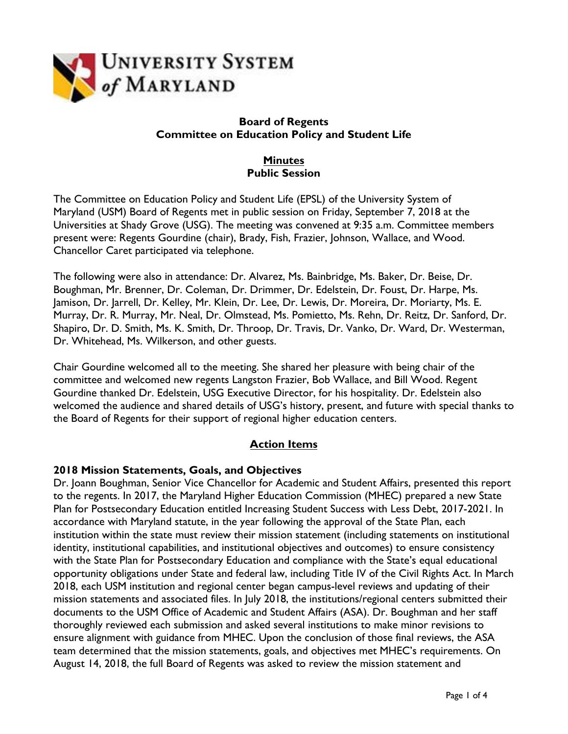

## **Board of Regents Committee on Education Policy and Student Life**

# **Minutes Public Session**

The Committee on Education Policy and Student Life (EPSL) of the University System of Maryland (USM) Board of Regents met in public session on Friday, September 7, 2018 at the Universities at Shady Grove (USG). The meeting was convened at 9:35 a.m. Committee members present were: Regents Gourdine (chair), Brady, Fish, Frazier, Johnson, Wallace, and Wood. Chancellor Caret participated via telephone.

The following were also in attendance: Dr. Alvarez, Ms. Bainbridge, Ms. Baker, Dr. Beise, Dr. Boughman, Mr. Brenner, Dr. Coleman, Dr. Drimmer, Dr. Edelstein, Dr. Foust, Dr. Harpe, Ms. Jamison, Dr. Jarrell, Dr. Kelley, Mr. Klein, Dr. Lee, Dr. Lewis, Dr. Moreira, Dr. Moriarty, Ms. E. Murray, Dr. R. Murray, Mr. Neal, Dr. Olmstead, Ms. Pomietto, Ms. Rehn, Dr. Reitz, Dr. Sanford, Dr. Shapiro, Dr. D. Smith, Ms. K. Smith, Dr. Throop, Dr. Travis, Dr. Vanko, Dr. Ward, Dr. Westerman, Dr. Whitehead, Ms. Wilkerson, and other guests.

Chair Gourdine welcomed all to the meeting. She shared her pleasure with being chair of the committee and welcomed new regents Langston Frazier, Bob Wallace, and Bill Wood. Regent Gourdine thanked Dr. Edelstein, USG Executive Director, for his hospitality. Dr. Edelstein also welcomed the audience and shared details of USG's history, present, and future with special thanks to the Board of Regents for their support of regional higher education centers.

## **Action Items**

#### **2018 Mission Statements, Goals, and Objectives**

Dr. Joann Boughman, Senior Vice Chancellor for Academic and Student Affairs, presented this report to the regents. In 2017, the Maryland Higher Education Commission (MHEC) prepared a new State Plan for Postsecondary Education entitled Increasing Student Success with Less Debt, 2017-2021. In accordance with Maryland statute, in the year following the approval of the State Plan, each institution within the state must review their mission statement (including statements on institutional identity, institutional capabilities, and institutional objectives and outcomes) to ensure consistency with the State Plan for Postsecondary Education and compliance with the State's equal educational opportunity obligations under State and federal law, including Title IV of the Civil Rights Act. In March 2018, each USM institution and regional center began campus-level reviews and updating of their mission statements and associated files. In July 2018, the institutions/regional centers submitted their documents to the USM Office of Academic and Student Affairs (ASA). Dr. Boughman and her staff thoroughly reviewed each submission and asked several institutions to make minor revisions to ensure alignment with guidance from MHEC. Upon the conclusion of those final reviews, the ASA team determined that the mission statements, goals, and objectives met MHEC's requirements. On August 14, 2018, the full Board of Regents was asked to review the mission statement and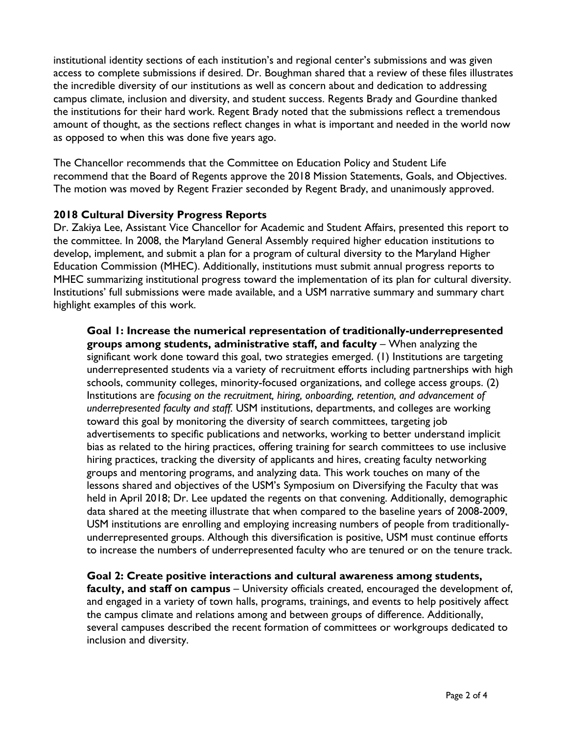institutional identity sections of each institution's and regional center's submissions and was given access to complete submissions if desired. Dr. Boughman shared that a review of these files illustrates the incredible diversity of our institutions as well as concern about and dedication to addressing campus climate, inclusion and diversity, and student success. Regents Brady and Gourdine thanked the institutions for their hard work. Regent Brady noted that the submissions reflect a tremendous amount of thought, as the sections reflect changes in what is important and needed in the world now as opposed to when this was done five years ago.

The Chancellor recommends that the Committee on Education Policy and Student Life recommend that the Board of Regents approve the 2018 Mission Statements, Goals, and Objectives. The motion was moved by Regent Frazier seconded by Regent Brady, and unanimously approved.

## **2018 Cultural Diversity Progress Reports**

Dr. Zakiya Lee, Assistant Vice Chancellor for Academic and Student Affairs, presented this report to the committee. In 2008, the Maryland General Assembly required higher education institutions to develop, implement, and submit a plan for a program of cultural diversity to the Maryland Higher Education Commission (MHEC). Additionally, institutions must submit annual progress reports to MHEC summarizing institutional progress toward the implementation of its plan for cultural diversity. Institutions' full submissions were made available, and a USM narrative summary and summary chart highlight examples of this work.

**Goal 1: Increase the numerical representation of traditionally-underrepresented groups among students, administrative staff, and faculty** – When analyzing the significant work done toward this goal, two strategies emerged. (1) Institutions are targeting underrepresented students via a variety of recruitment efforts including partnerships with high schools, community colleges, minority-focused organizations, and college access groups. (2) Institutions are *focusing on the recruitment, hiring, onboarding, retention, and advancement of underrepresented faculty and staff.* USM institutions, departments, and colleges are working toward this goal by monitoring the diversity of search committees, targeting job advertisements to specific publications and networks, working to better understand implicit bias as related to the hiring practices, offering training for search committees to use inclusive hiring practices, tracking the diversity of applicants and hires, creating faculty networking groups and mentoring programs, and analyzing data. This work touches on many of the lessons shared and objectives of the USM's Symposium on Diversifying the Faculty that was held in April 2018; Dr. Lee updated the regents on that convening. Additionally, demographic data shared at the meeting illustrate that when compared to the baseline years of 2008-2009, USM institutions are enrolling and employing increasing numbers of people from traditionallyunderrepresented groups. Although this diversification is positive, USM must continue efforts to increase the numbers of underrepresented faculty who are tenured or on the tenure track.

**Goal 2: Create positive interactions and cultural awareness among students, faculty, and staff on campus** – University officials created, encouraged the development of, and engaged in a variety of town halls, programs, trainings, and events to help positively affect the campus climate and relations among and between groups of difference. Additionally, several campuses described the recent formation of committees or workgroups dedicated to inclusion and diversity.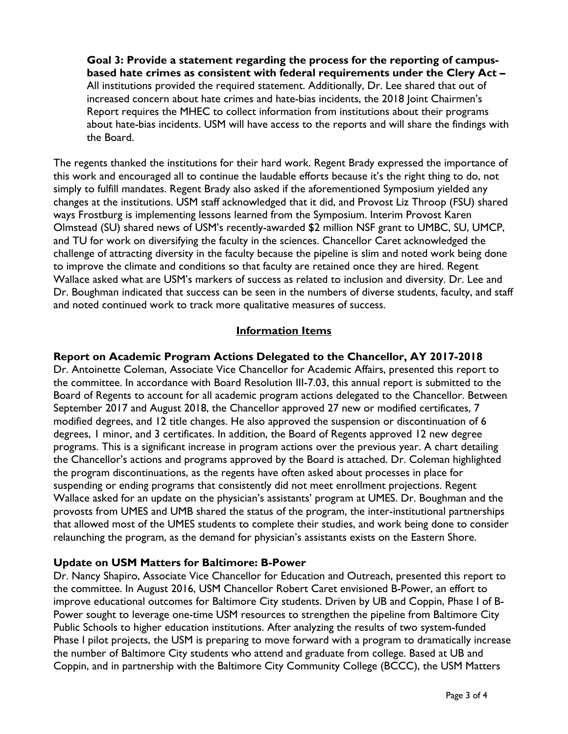**Goal 3: Provide a statement regarding the process for the reporting of campusbased hate crimes as consistent with federal requirements under the Clery Act –** All institutions provided the required statement. Additionally, Dr. Lee shared that out of increased concern about hate crimes and hate-bias incidents, the 2018 Joint Chairmen's Report requires the MHEC to collect information from institutions about their programs about hate-bias incidents. USM will have access to the reports and will share the findings with the Board.

The regents thanked the institutions for their hard work. Regent Brady expressed the importance of this work and encouraged all to continue the laudable efforts because it's the right thing to do, not simply to fulfill mandates. Regent Brady also asked if the aforementioned Symposium yielded any changes at the institutions. USM staff acknowledged that it did, and Provost Liz Throop (FSU) shared ways Frostburg is implementing lessons learned from the Symposium. Interim Provost Karen Olmstead (SU) shared news of USM's recently-awarded \$2 million NSF grant to UMBC, SU, UMCP, and TU for work on diversifying the faculty in the sciences. Chancellor Caret acknowledged the challenge of attracting diversity in the faculty because the pipeline is slim and noted work being done to improve the climate and conditions so that faculty are retained once they are hired. Regent Wallace asked what are USM's markers of success as related to inclusion and diversity. Dr. Lee and Dr. Boughman indicated that success can be seen in the numbers of diverse students, faculty, and staff and noted continued work to track more qualitative measures of success.

### **Information Items**

### **Report on Academic Program Actions Delegated to the Chancellor, AY 2017-2018**

Dr. Antoinette Coleman, Associate Vice Chancellor for Academic Affairs, presented this report to the committee. In accordance with Board Resolution III-7.03, this annual report is submitted to the Board of Regents to account for all academic program actions delegated to the Chancellor. Between September 2017 and August 2018, the Chancellor approved 27 new or modified certificates, 7 modified degrees, and 12 title changes. He also approved the suspension or discontinuation of 6 degrees, 1 minor, and 3 certificates. In addition, the Board of Regents approved 12 new degree programs. This is a significant increase in program actions over the previous year. A chart detailing the Chancellor's actions and programs approved by the Board is attached. Dr. Coleman highlighted the program discontinuations, as the regents have often asked about processes in place for suspending or ending programs that consistently did not meet enrollment projections. Regent Wallace asked for an update on the physician's assistants' program at UMES. Dr. Boughman and the provosts from UMES and UMB shared the status of the program, the inter-institutional partnerships that allowed most of the UMES students to complete their studies, and work being done to consider relaunching the program, as the demand for physician's assistants exists on the Eastern Shore.

#### **Update on USM Matters for Baltimore: B-Power**

Dr. Nancy Shapiro, Associate Vice Chancellor for Education and Outreach, presented this report to the committee. In August 2016, USM Chancellor Robert Caret envisioned B-Power, an effort to improve educational outcomes for Baltimore City students. Driven by UB and Coppin, Phase I of B-Power sought to leverage one-time USM resources to strengthen the pipeline from Baltimore City Public Schools to higher education institutions. After analyzing the results of two system-funded Phase I pilot projects, the USM is preparing to move forward with a program to dramatically increase the number of Baltimore City students who attend and graduate from college. Based at UB and Coppin, and in partnership with the Baltimore City Community College (BCCC), the USM Matters